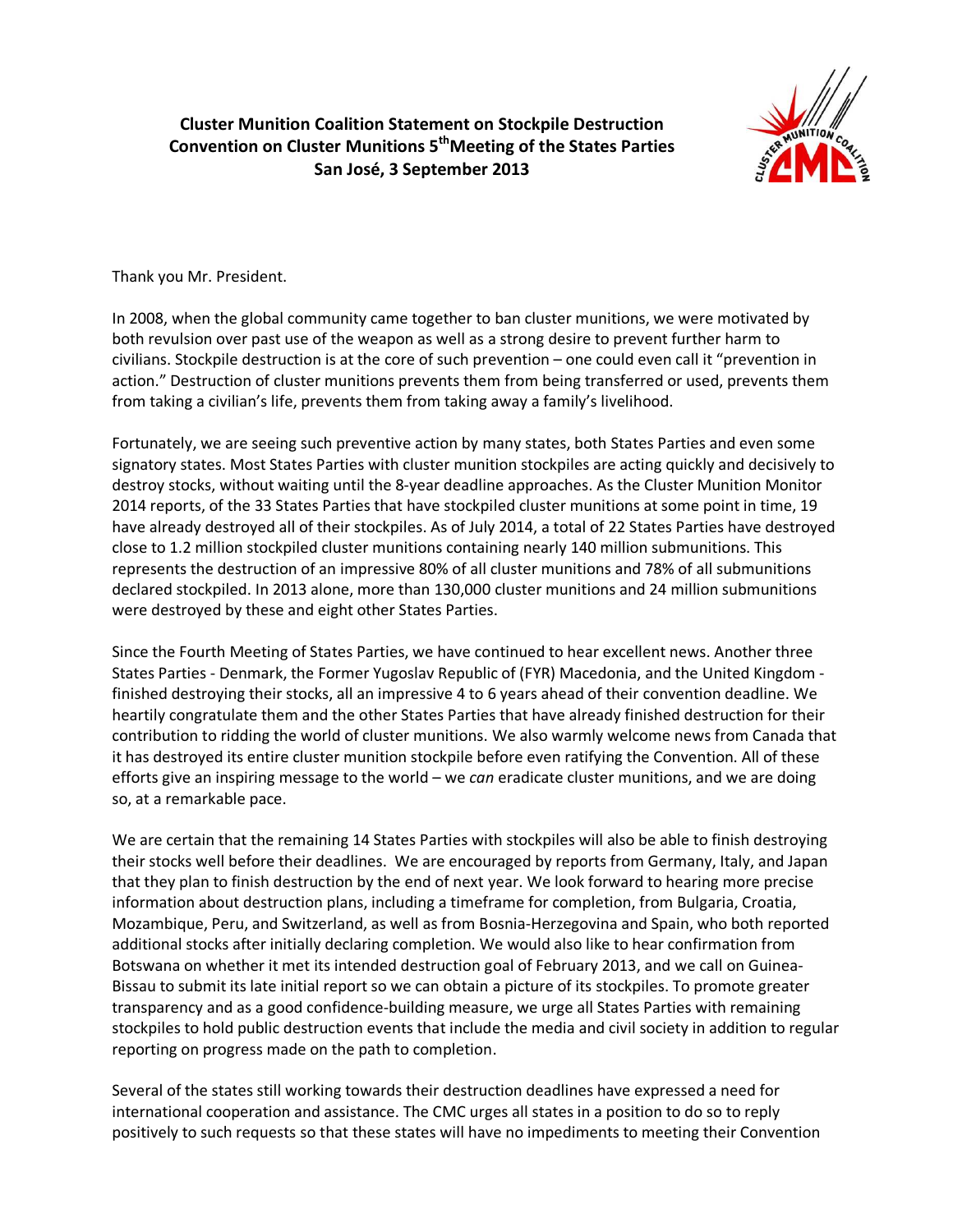## **Cluster Munition Coalition Statement on Stockpile Destruction Convention on Cluster Munitions 5thMeeting of the States Parties San José, 3 September 2013**



Thank you Mr. President.

In 2008, when the global community came together to ban cluster munitions, we were motivated by both revulsion over past use of the weapon as well as a strong desire to prevent further harm to civilians. Stockpile destruction is at the core of such prevention – one could even call it "prevention in action." Destruction of cluster munitions prevents them from being transferred or used, prevents them from taking a civilian's life, prevents them from taking away a family's livelihood.

Fortunately, we are seeing such preventive action by many states, both States Parties and even some signatory states. Most States Parties with cluster munition stockpiles are acting quickly and decisively to destroy stocks, without waiting until the 8-year deadline approaches. As the Cluster Munition Monitor 2014 reports, of the 33 States Parties that have stockpiled cluster munitions at some point in time, 19 have already destroyed all of their stockpiles. As of July 2014, a total of 22 States Parties have destroyed close to 1.2 million stockpiled cluster munitions containing nearly 140 million submunitions. This represents the destruction of an impressive 80% of all cluster munitions and 78% of all submunitions declared stockpiled. In 2013 alone, more than 130,000 cluster munitions and 24 million submunitions were destroyed by these and eight other States Parties.

Since the Fourth Meeting of States Parties, we have continued to hear excellent news. Another three States Parties - Denmark, the Former Yugoslav Republic of (FYR) Macedonia, and the United Kingdom finished destroying their stocks, all an impressive 4 to 6 years ahead of their convention deadline. We heartily congratulate them and the other States Parties that have already finished destruction for their contribution to ridding the world of cluster munitions. We also warmly welcome news from Canada that it has destroyed its entire cluster munition stockpile before even ratifying the Convention. All of these efforts give an inspiring message to the world – we *can* eradicate cluster munitions, and we are doing so, at a remarkable pace.

We are certain that the remaining 14 States Parties with stockpiles will also be able to finish destroying their stocks well before their deadlines. We are encouraged by reports from Germany, Italy, and Japan that they plan to finish destruction by the end of next year. We look forward to hearing more precise information about destruction plans, including a timeframe for completion, from Bulgaria, Croatia, Mozambique, Peru, and Switzerland, as well as from Bosnia-Herzegovina and Spain, who both reported additional stocks after initially declaring completion. We would also like to hear confirmation from Botswana on whether it met its intended destruction goal of February 2013, and we call on Guinea-Bissau to submit its late initial report so we can obtain a picture of its stockpiles. To promote greater transparency and as a good confidence-building measure, we urge all States Parties with remaining stockpiles to hold public destruction events that include the media and civil society in addition to regular reporting on progress made on the path to completion.

Several of the states still working towards their destruction deadlines have expressed a need for international cooperation and assistance. The CMC urges all states in a position to do so to reply positively to such requests so that these states will have no impediments to meeting their Convention